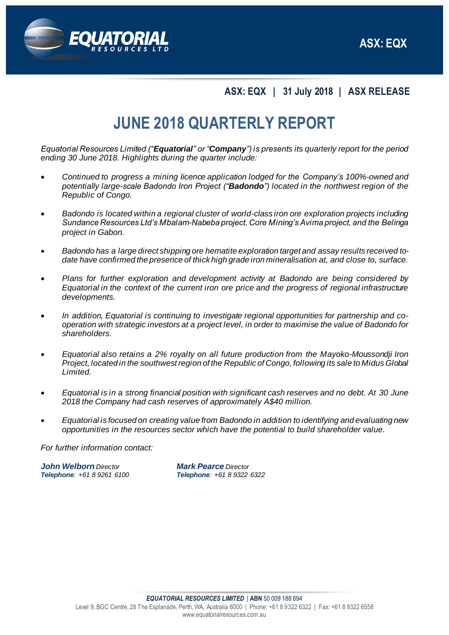

**ASX: EQX | 31 July 2018 | ASX RELEASE**

# **JUNE 2018 QUARTERLY REPORT**

*Equatorial Resources Limited ("Equatorial" or "Company") is presents its quarterly report for the period ending 30 June 2018. Highlights during the quarter include:*

- *Continued to progress a mining licence application lodged for the Company's 100%-owned and potentially large-scale Badondo Iron Project ("Badondo") located in the northwest region of the Republic of Congo.*
- *Badondo is located within a regional cluster of world-class iron ore exploration projects including Sundance Resources Ltd's Mbalam-Nabeba project, Core Mining's Avima project, and the Belinga project in Gabon.*
- *Badondo has a large direct shipping ore hematite exploration target and assay results received todate have confirmed the presence of thick high grade iron mineralisation at, and close to, surface.*
- *Plans for further exploration and development activity at Badondo are being considered by Equatorial in the context of the current iron ore price and the progress of regional infrastructure developments.*
- *In addition, Equatorial is continuing to investigate regional opportunities for partnership and cooperation with strategic investors at a project level, in order to maximise the value of Badondo for shareholders.*
- *Equatorial also retains a 2% royalty on all future production from the Mayoko-Moussondji Iron Project, located in the southwest region of the Republic of Congo, following its sale to Midus Global Limited.*
- *Equatorial is in a strong financial position with significant cash reserves and no debt. At 30 June 2018 the Company had cash reserves of approximately A\$40 million.*
- *Equatorial is focused on creating value from Badondo in addition to identifying and evaluating new opportunities in the resources sector which have the potential to build shareholder value.*

*For further information contact:*

*John Welborn Director Mark Pearce Director Telephone: +61 8 9261 6100 Telephone: +61 8 9322 6322*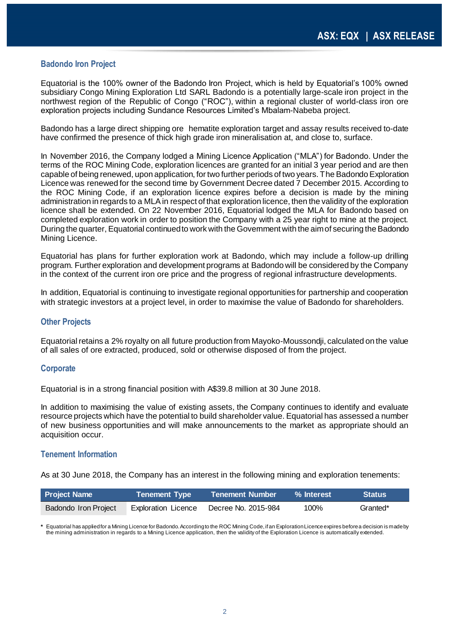### **Badondo Iron Project**

Equatorial is the 100% owner of the Badondo Iron Project, which is held by Equatorial's 100% owned subsidiary Congo Mining Exploration Ltd SARL Badondo is a potentially large-scale iron project in the northwest region of the Republic of Congo ("ROC"), within a regional cluster of world-class iron ore exploration projects including Sundance Resources Limited's Mbalam-Nabeba project.

Badondo has a large direct shipping ore hematite exploration target and assay results received to-date have confirmed the presence of thick high grade iron mineralisation at, and close to, surface.

In November 2016, the Company lodged a Mining Licence Application ("MLA") for Badondo. Under the terms of the ROC Mining Code, exploration licences are granted for an initial 3 year period and are then capable of being renewed, upon application, for two further periods of two years. The Badondo Exploration Licence was renewed for the second time by Government Decree dated 7 December 2015. According to the ROC Mining Code, if an exploration licence expires before a decision is made by the mining administration in regards to a MLA in respect of that exploration licence, then the validity of the exploration licence shall be extended. On 22 November 2016, Equatorial lodged the MLA for Badondo based on completed exploration work in order to position the Company with a 25 year right to mine at the project. During the quarter, Equatorial continuedto work with the Government with the aim of securing the Badondo Mining Licence.

Equatorial has plans for further exploration work at Badondo, which may include a follow-up drilling program. Further exploration and development programs at Badondo will be considered by the Company in the context of the current iron ore price and the progress of regional infrastructure developments.

In addition, Equatorial is continuing to investigate regional opportunities for partnership and cooperation with strategic investors at a project level, in order to maximise the value of Badondo for shareholders.

#### **Other Projects**

Equatorial retains a 2% royalty on all future production from Mayoko-Moussondji, calculated on the value of all sales of ore extracted, produced, sold or otherwise disposed of from the project.

#### **Corporate**

Equatorial is in a strong financial position with A\$39.8 million at 30 June 2018.

In addition to maximising the value of existing assets, the Company continues to identify and evaluate resource projects which have the potential to build shareholder value. Equatorial has assessed a number of new business opportunities and will make announcements to the market as appropriate should an acquisition occur.

#### **Tenement Information**

As at 30 June 2018, the Company has an interest in the following mining and exploration tenements:

| <b>Project Name</b>  | <b>Tenement Type</b>       | <b>Tenement Number</b> | % Interest | <b>Status</b> |
|----------------------|----------------------------|------------------------|------------|---------------|
| Badondo Iron Project | <b>Exploration Licence</b> | Decree No. 2015-984    | 100%       | Granted*      |

**\*** Equatorial has applied for a Mining Licence for Badondo. According to the ROC Mining Code, if an Exploration Licence expires before a decision is made by the mining administration in regards to a Mining Licence application, then the validity of the Exploration Licence is automatically extended.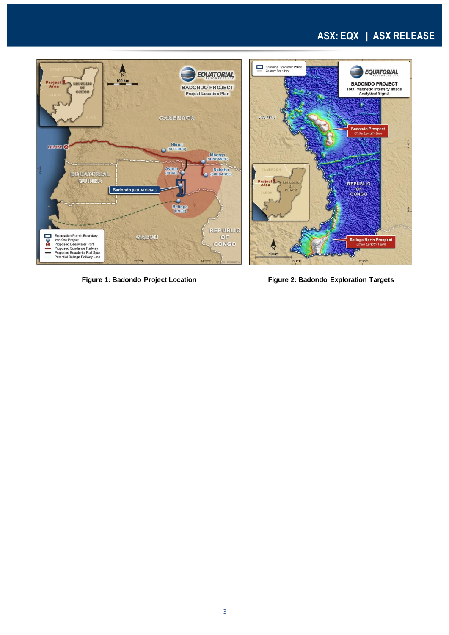### **ASX: EQX | ASX RELEASE**



**Figure 1: Badondo Project Location Figure 2: Badondo Exploration Targets**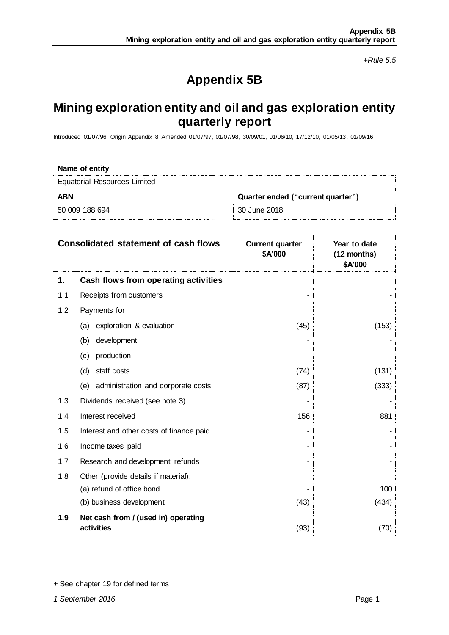*+Rule 5.5*

## **Appendix 5B**

### **Mining exploration entity and oil and gas exploration entity quarterly report**

Introduced 01/07/96 Origin Appendix 8 Amended 01/07/97, 01/07/98, 30/09/01, 01/06/10, 17/12/10, 01/05/13, 01/09/16

| Name of entity                                  |              |  |  |
|-------------------------------------------------|--------------|--|--|
| <b>Equatorial Resources Limited</b>             |              |  |  |
| <b>ABN</b><br>Quarter ended ("current quarter") |              |  |  |
| 50 009 188 694                                  | 30 June 2018 |  |  |

|     | <b>Consolidated statement of cash flows</b>       | <b>Current quarter</b><br>\$A'000 | Year to date<br>(12 months)<br>\$A'000 |
|-----|---------------------------------------------------|-----------------------------------|----------------------------------------|
| 1.  | <b>Cash flows from operating activities</b>       |                                   |                                        |
| 1.1 | Receipts from customers                           |                                   |                                        |
| 1.2 | Payments for                                      |                                   |                                        |
|     | exploration & evaluation<br>(a)                   | (45)                              | (153)                                  |
|     | development<br>(b)                                |                                   |                                        |
|     | production<br>(c)                                 |                                   |                                        |
|     | staff costs<br>(d)                                | (74)                              | (131)                                  |
|     | administration and corporate costs<br>(e)         | (87)                              | (333)                                  |
| 1.3 | Dividends received (see note 3)                   |                                   |                                        |
| 1.4 | Interest received                                 | 156                               | 881                                    |
| 1.5 | Interest and other costs of finance paid          |                                   |                                        |
| 1.6 | Income taxes paid                                 |                                   |                                        |
| 1.7 | Research and development refunds                  |                                   |                                        |
| 1.8 | Other (provide details if material):              |                                   |                                        |
|     | (a) refund of office bond                         |                                   | 100                                    |
|     | (b) business development                          | (43)                              | (434)                                  |
| 1.9 | Net cash from / (used in) operating<br>activities | (93)                              | (70)                                   |

<sup>+</sup> See chapter 19 for defined terms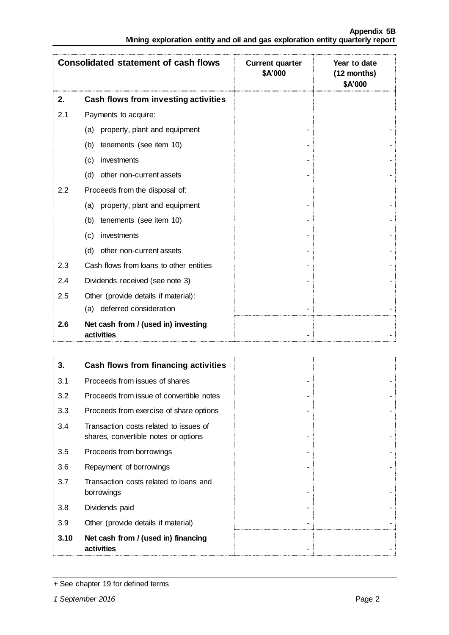|     | <b>Consolidated statement of cash flows</b>       | <b>Current quarter</b><br>\$A'000 | Year to date<br>(12 months)<br>\$A'000 |
|-----|---------------------------------------------------|-----------------------------------|----------------------------------------|
| 2.  | <b>Cash flows from investing activities</b>       |                                   |                                        |
| 2.1 | Payments to acquire:                              |                                   |                                        |
|     | property, plant and equipment<br>(a)              |                                   |                                        |
|     | (b)<br>tenements (see item 10)                    |                                   |                                        |
|     | investments<br>(c)                                |                                   |                                        |
|     | (d)<br>other non-current assets                   |                                   |                                        |
| 2.2 | Proceeds from the disposal of:                    |                                   |                                        |
|     | property, plant and equipment<br>(a)              |                                   |                                        |
|     | tenements (see item 10)<br>(b)                    |                                   |                                        |
|     | investments<br>(c)                                |                                   |                                        |
|     | (d)<br>other non-current assets                   |                                   |                                        |
| 2.3 | Cash flows from loans to other entities           |                                   |                                        |
| 2.4 | Dividends received (see note 3)                   |                                   |                                        |
| 2.5 | Other (provide details if material):              |                                   |                                        |
|     | (a) deferred consideration                        |                                   |                                        |
| 2.6 | Net cash from / (used in) investing<br>activities |                                   |                                        |

| 3.   | Cash flows from financing activities                                           |  |
|------|--------------------------------------------------------------------------------|--|
| 3.1  | Proceeds from issues of shares                                                 |  |
| 3.2  | Proceeds from issue of convertible notes                                       |  |
| 3.3  | Proceeds from exercise of share options                                        |  |
| 3.4  | Transaction costs related to issues of<br>shares, convertible notes or options |  |
| 3.5  | Proceeds from borrowings                                                       |  |
| 3.6  | Repayment of borrowings                                                        |  |
| 3.7  | Transaction costs related to loans and<br>borrowings                           |  |
| 3.8  | Dividends paid                                                                 |  |
| 3.9  | Other (provide details if material)                                            |  |
| 3.10 | Net cash from / (used in) financing<br>activities                              |  |

<sup>+</sup> See chapter 19 for defined terms

 $\frac{1}{2}$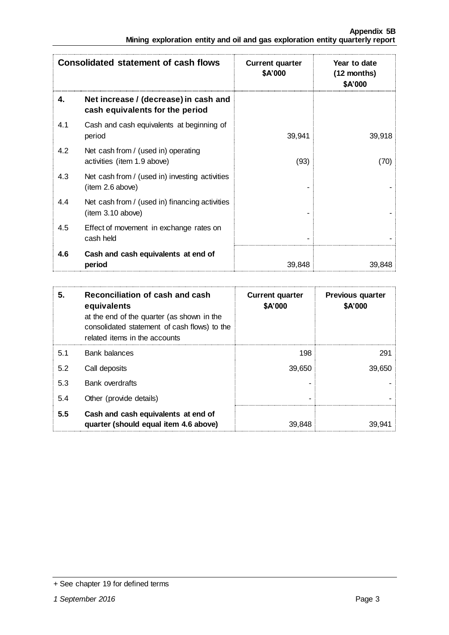|     | <b>Consolidated statement of cash flows</b>                              | <b>Current quarter</b><br>\$A'000 | Year to date<br>$(12$ months)<br>\$A'000 |
|-----|--------------------------------------------------------------------------|-----------------------------------|------------------------------------------|
| 4.  | Net increase / (decrease) in cash and<br>cash equivalents for the period |                                   |                                          |
| 4.1 | Cash and cash equivalents at beginning of<br>period                      | 39,941                            | 39,918                                   |
| 4.2 | Net cash from / (used in) operating<br>activities (item 1.9 above)       | (93)                              | (70)                                     |
| 4.3 | Net cash from / (used in) investing activities<br>item 2.6 above)        |                                   |                                          |
| 4.4 | Net cash from / (used in) financing activities<br>(item 3.10 above)      |                                   |                                          |
| 4.5 | Effect of movement in exchange rates on<br>cash held                     |                                   |                                          |
| 4.6 | Cash and cash equivalents at end of<br>period                            | 39,848                            | 39,848                                   |

| 5.  | Reconciliation of cash and cash<br>equivalents<br>at the end of the quarter (as shown in the<br>consolidated statement of cash flows) to the<br>related items in the accounts | <b>Current quarter</b><br>\$A'000 | <b>Previous quarter</b><br>\$A'000 |
|-----|-------------------------------------------------------------------------------------------------------------------------------------------------------------------------------|-----------------------------------|------------------------------------|
| 5.1 | <b>Bank balances</b>                                                                                                                                                          | 198                               | 291                                |
| 5.2 | Call deposits                                                                                                                                                                 | 39.650                            | 39,650                             |
| 5.3 | <b>Bank overdrafts</b>                                                                                                                                                        |                                   |                                    |
| 5.4 | Other (provide details)                                                                                                                                                       |                                   |                                    |
| 5.5 | Cash and cash equivalents at end of<br>quarter (should equal item 4.6 above)                                                                                                  | 39.848                            | 39.941                             |

<sup>+</sup> See chapter 19 for defined terms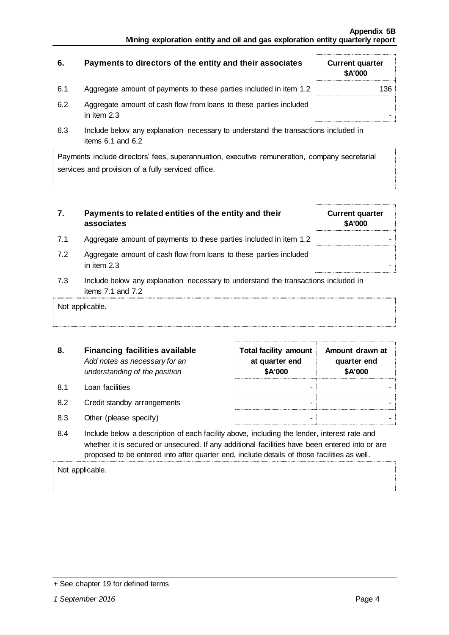| 6.  | Payments to directors of the entity and their associates                          | <b>Current quarter</b><br><b>\$A'000</b> |
|-----|-----------------------------------------------------------------------------------|------------------------------------------|
| 6.1 | Aggregate amount of payments to these parties included in item 1.2                | 136.                                     |
| 6.2 | Aggregate amount of cash flow from loans to these parties included<br>in item 2.3 |                                          |

6.3 Include below any explanation necessary to understand the transactions included in items 6.1 and 6.2

Payments include directors' fees, superannuation, executive remuneration, company secretarial services and provision of a fully serviced office.

| 7. | Payments to related entities of the entity and their |
|----|------------------------------------------------------|
|    | associates                                           |

- 7.1 Aggregate amount of payments to these parties included in item 1.2
- 7.2 Aggregate amount of cash flow from loans to these parties included in item  $2.3$
- 7.3 Include below any explanation necessary to understand the transactions included in items 7.1 and 7.2

Not applicable.

| 8.        | <b>Financing facilities available</b><br>Add notes as necessary for an<br>understanding of the position | <b>Total facility amount</b><br>at quarter end<br>\$A'000 | Amount drawn at<br>quarter end<br>\$A'000 |
|-----------|---------------------------------------------------------------------------------------------------------|-----------------------------------------------------------|-------------------------------------------|
| <b>81</b> | Loan facilities                                                                                         |                                                           |                                           |
| 8.2       | Credit standby arrangements                                                                             |                                                           |                                           |
| 8.3       | Other (please specify)                                                                                  |                                                           |                                           |

8.4 Include below a description of each facility above, including the lender, interest rate and whether it is secured or unsecured. If any additional facilities have been entered into or are proposed to be entered into after quarter end, include details of those facilities as well.

Not applicable.

| + See chapter 19 for defined terms |  |  |
|------------------------------------|--|--|
|------------------------------------|--|--|

**Current quarter \$A'000**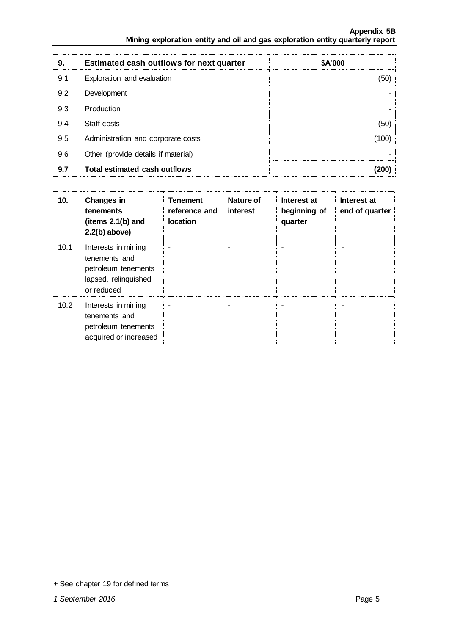| 9.  | <b>Estimated cash outflows for next quarter</b> | \$A'000 |
|-----|-------------------------------------------------|---------|
| 9.1 | Exploration and evaluation                      | 50      |
| 9.2 | Development                                     |         |
| 9.3 | Production                                      |         |
| 9.4 | Staff costs                                     | (50)    |
| 9.5 | Administration and corporate costs              | 100     |
| 9.6 | Other (provide details if material)             |         |
| 9.7 | Total estimated cash outflows                   |         |

| 10.  | Changes in<br>tenements<br>(items $2.1(b)$ and<br>$2.2(b)$ above)                                 | <b>Tenement</b><br>reference and<br>location | Nature of<br>interest | Interest at<br>beginning of<br>quarter | Interest at<br>end of quarter |
|------|---------------------------------------------------------------------------------------------------|----------------------------------------------|-----------------------|----------------------------------------|-------------------------------|
| 10.1 | Interests in mining<br>tenements and<br>petroleum tenements<br>lapsed, relinquished<br>or reduced |                                              |                       |                                        |                               |
| 10.2 | Interests in mining<br>tenements and<br>petroleum tenements<br>acquired or increased              |                                              |                       |                                        |                               |

<sup>+</sup> See chapter 19 for defined terms